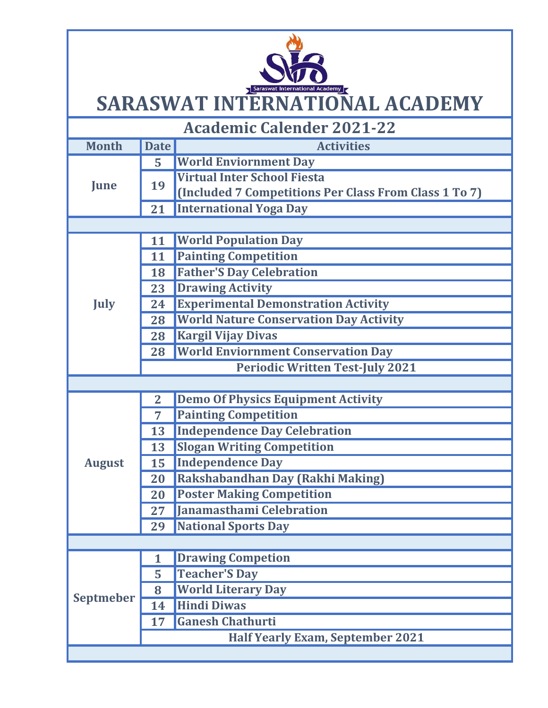## SARASWAT INTERNATIONAL ACADEMY

| <b>Academic Calender 2021-22</b> |                 |                                                       |  |  |  |  |
|----------------------------------|-----------------|-------------------------------------------------------|--|--|--|--|
| <b>Month</b>                     | <b>Date</b>     | <b>Activities</b>                                     |  |  |  |  |
| June                             | $\overline{5}$  | <b>World Enviornment Day</b>                          |  |  |  |  |
|                                  | 19              | <b>Virtual Inter School Fiesta</b>                    |  |  |  |  |
|                                  |                 | (Included 7 Competitions Per Class From Class 1 To 7) |  |  |  |  |
|                                  | 21              | <b>International Yoga Day</b>                         |  |  |  |  |
|                                  |                 |                                                       |  |  |  |  |
| <b>July</b>                      | 11              | <b>World Population Day</b>                           |  |  |  |  |
|                                  | 11              | <b>Painting Competition</b>                           |  |  |  |  |
|                                  | 18              | <b>Father'S Day Celebration</b>                       |  |  |  |  |
|                                  | 23              | <b>Drawing Activity</b>                               |  |  |  |  |
|                                  | 24              | <b>Experimental Demonstration Activity</b>            |  |  |  |  |
|                                  | 28              | <b>World Nature Conservation Day Activity</b>         |  |  |  |  |
|                                  | 28              | <b>Kargil Vijay Divas</b>                             |  |  |  |  |
|                                  | 28              | <b>World Enviornment Conservation Day</b>             |  |  |  |  |
|                                  |                 | <b>Periodic Written Test-July 2021</b>                |  |  |  |  |
|                                  |                 |                                                       |  |  |  |  |
|                                  | $\overline{2}$  | <b>Demo Of Physics Equipment Activity</b>             |  |  |  |  |
|                                  | $\overline{7}$  | <b>Painting Competition</b>                           |  |  |  |  |
|                                  | 13              | <b>Independence Day Celebration</b>                   |  |  |  |  |
|                                  | 13              | <b>Slogan Writing Competition</b>                     |  |  |  |  |
| <b>August</b>                    | 15              | <b>Independence Day</b>                               |  |  |  |  |
|                                  | 20              | Rakshabandhan Day (Rakhi Making)                      |  |  |  |  |
|                                  | 20              | <b>Poster Making Competition</b>                      |  |  |  |  |
|                                  | 27 <sub>2</sub> | Janamasthami Celebration                              |  |  |  |  |
|                                  | 29              | <b>National Sports Day</b>                            |  |  |  |  |
|                                  |                 |                                                       |  |  |  |  |
| <b>Septmeber</b>                 | 1               | <b>Drawing Competion</b>                              |  |  |  |  |
|                                  | 5               | <b>Teacher'S Day</b>                                  |  |  |  |  |
|                                  | 8               | <b>World Literary Day</b>                             |  |  |  |  |
|                                  | 14              | <b>Hindi Diwas</b>                                    |  |  |  |  |
|                                  | 17              | <b>Ganesh Chathurti</b>                               |  |  |  |  |
|                                  |                 | <b>Half Yearly Exam, September 2021</b>               |  |  |  |  |
|                                  |                 |                                                       |  |  |  |  |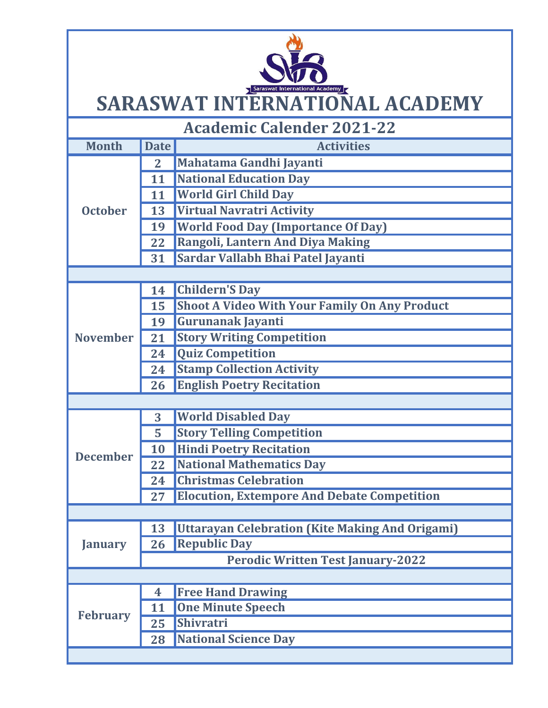## SARASWAT INTERNATIONAL ACADEMY

| <b>Academic Calender 2021-22</b> |                                          |                                                      |  |  |  |
|----------------------------------|------------------------------------------|------------------------------------------------------|--|--|--|
| <b>Month</b>                     | <b>Date</b>                              | <b>Activities</b>                                    |  |  |  |
| <b>October</b>                   | $\mathbf{2}$                             | Mahatama Gandhi Jayanti                              |  |  |  |
|                                  | 11                                       | <b>National Education Day</b>                        |  |  |  |
|                                  | 11                                       | <b>World Girl Child Day</b>                          |  |  |  |
|                                  | 13                                       | <b>Virtual Navratri Activity</b>                     |  |  |  |
|                                  | 19                                       | <b>World Food Day (Importance Of Day)</b>            |  |  |  |
|                                  | 22                                       | Rangoli, Lantern And Diya Making                     |  |  |  |
|                                  | 31                                       | Sardar Vallabh Bhai Patel Jayanti                    |  |  |  |
|                                  |                                          |                                                      |  |  |  |
|                                  | 14                                       | <b>Childern'S Day</b>                                |  |  |  |
|                                  | 15                                       | <b>Shoot A Video With Your Family On Any Product</b> |  |  |  |
|                                  | 19                                       | Gurunanak Jayanti                                    |  |  |  |
| <b>November</b>                  | 21                                       | <b>Story Writing Competition</b>                     |  |  |  |
|                                  | 24                                       | <b>Quiz Competition</b>                              |  |  |  |
|                                  | 24                                       | <b>Stamp Collection Activity</b>                     |  |  |  |
|                                  | 26                                       | <b>English Poetry Recitation</b>                     |  |  |  |
|                                  |                                          |                                                      |  |  |  |
|                                  | 3                                        | <b>World Disabled Day</b>                            |  |  |  |
|                                  | 5                                        | <b>Story Telling Competition</b>                     |  |  |  |
| <b>December</b>                  | 10                                       | <b>Hindi Poetry Recitation</b>                       |  |  |  |
|                                  | 22                                       | <b>National Mathematics Day</b>                      |  |  |  |
|                                  | 24                                       | <b>Christmas Celebration</b>                         |  |  |  |
|                                  | 27                                       | <b>Elocution, Extempore And Debate Competition</b>   |  |  |  |
|                                  |                                          |                                                      |  |  |  |
| <b>January</b>                   | 13                                       | Uttarayan Celebration (Kite Making And Origami)      |  |  |  |
|                                  | 26                                       | <b>Republic Day</b>                                  |  |  |  |
|                                  | <b>Perodic Written Test January-2022</b> |                                                      |  |  |  |
|                                  |                                          |                                                      |  |  |  |
| <b>February</b>                  | 4                                        | <b>Free Hand Drawing</b>                             |  |  |  |
|                                  | 11                                       | <b>One Minute Speech</b>                             |  |  |  |
|                                  | 25                                       | Shivratri                                            |  |  |  |
|                                  | 28                                       | National Science Day                                 |  |  |  |
|                                  |                                          |                                                      |  |  |  |